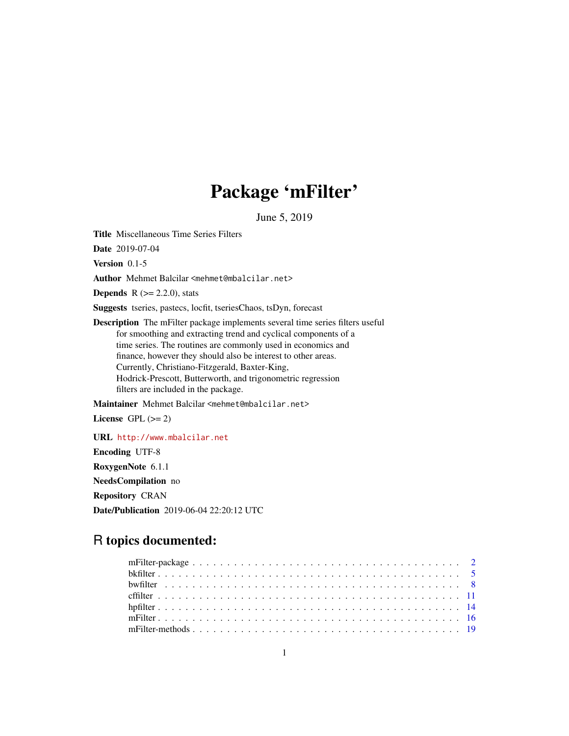## Package 'mFilter'

June 5, 2019

<span id="page-0-0"></span>Title Miscellaneous Time Series Filters

Date 2019-07-04

Version 0.1-5

Author Mehmet Balcilar <mehmet@mbalcilar.net>

**Depends** R  $(>= 2.2.0)$ , stats

Suggests tseries, pastecs, locfit, tseriesChaos, tsDyn, forecast

Description The mFilter package implements several time series filters useful for smoothing and extracting trend and cyclical components of a time series. The routines are commonly used in economics and finance, however they should also be interest to other areas. Currently, Christiano-Fitzgerald, Baxter-King, Hodrick-Prescott, Butterworth, and trigonometric regression filters are included in the package.

Maintainer Mehmet Balcilar <mehmet@mbalcilar.net>

License GPL  $(>= 2)$ 

URL <http://www.mbalcilar.net> Encoding UTF-8

RoxygenNote 6.1.1

NeedsCompilation no

Repository CRAN

Date/Publication 2019-06-04 22:20:12 UTC

### R topics documented: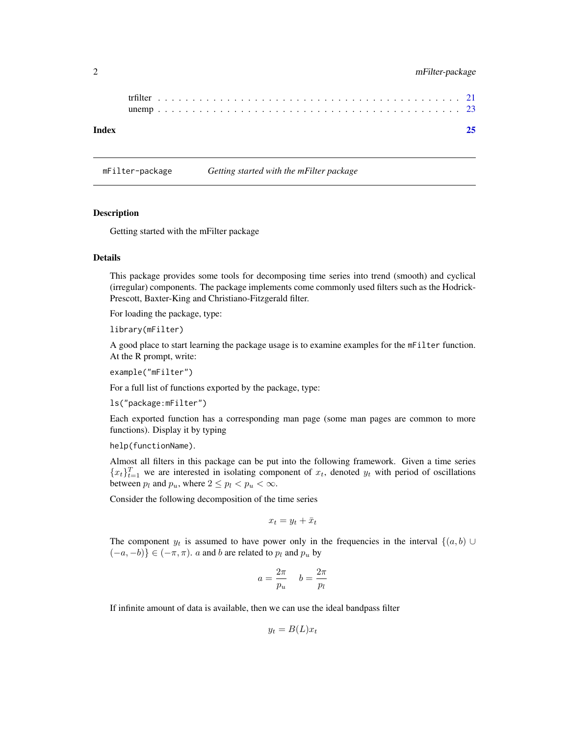#### <span id="page-1-0"></span>2 mFilter-package

| Index |  |  |  |  |  |  |  |  |  |  |  |  |  |  |  |  |  |  |  |  |  |  |
|-------|--|--|--|--|--|--|--|--|--|--|--|--|--|--|--|--|--|--|--|--|--|--|
|       |  |  |  |  |  |  |  |  |  |  |  |  |  |  |  |  |  |  |  |  |  |  |
|       |  |  |  |  |  |  |  |  |  |  |  |  |  |  |  |  |  |  |  |  |  |  |

mFilter-package *Getting started with the mFilter package*

#### **Description**

Getting started with the mFilter package

#### Details

This package provides some tools for decomposing time series into trend (smooth) and cyclical (irregular) components. The package implements come commonly used filters such as the Hodrick-Prescott, Baxter-King and Christiano-Fitzgerald filter.

For loading the package, type:

library(mFilter)

A good place to start learning the package usage is to examine examples for the mFilter function. At the R prompt, write:

example("mFilter")

For a full list of functions exported by the package, type:

ls("package:mFilter")

Each exported function has a corresponding man page (some man pages are common to more functions). Display it by typing

help(functionName).

Almost all filters in this package can be put into the following framework. Given a time series  ${x_t}_{t=1}^T$  we are interested in isolating component of  $x_t$ , denoted  $y_t$  with period of oscillations between  $p_l$  and  $p_u$ , where  $2 \leq p_l < p_u < \infty$ .

Consider the following decomposition of the time series

$$
x_t = y_t + \bar{x}_t
$$

The component  $y_t$  is assumed to have power only in the frequencies in the interval  $\{(a, b) \cup$  $(-a, -b)$ } ∈  $(-\pi, \pi)$ . *a* and *b* are related to  $p_l$  and  $p_u$  by

$$
a = \frac{2\pi}{p_u} \quad b = \frac{2\pi}{p_l}
$$

If infinite amount of data is available, then we can use the ideal bandpass filter

$$
y_t = B(L)x_t
$$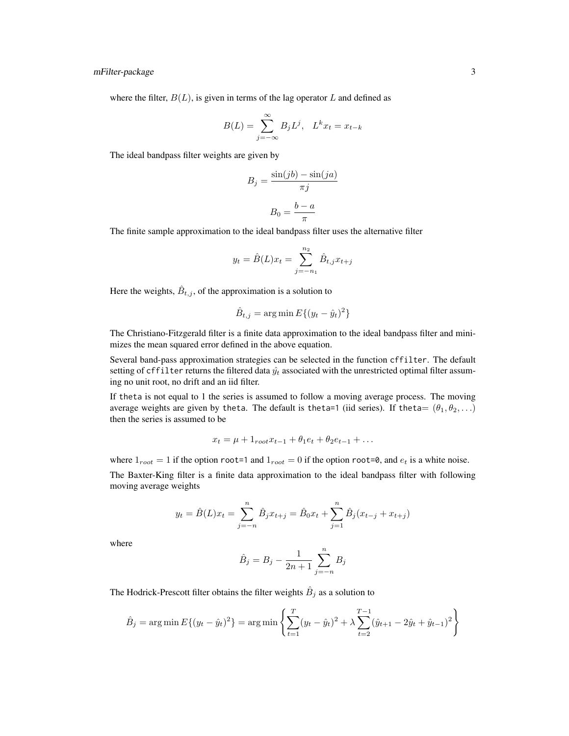where the filter,  $B(L)$ , is given in terms of the lag operator L and defined as

$$
B(L) = \sum_{j=-\infty}^{\infty} B_j L^j, \quad L^k x_t = x_{t-k}
$$

The ideal bandpass filter weights are given by

$$
B_j = \frac{\sin(jb) - \sin(ja)}{\pi j}
$$

$$
B_0 = \frac{b - a}{\pi}
$$

The finite sample approximation to the ideal bandpass filter uses the alternative filter

$$
y_t = \hat{B}(L)x_t = \sum_{j=-n_1}^{n_2} \hat{B}_{t,j}x_{t+j}
$$

Here the weights,  $\hat{B}_{t,j}$ , of the approximation is a solution to

$$
\hat{B}_{t,j} = \arg\min E\{(y_t - \hat{y}_t)^2\}
$$

The Christiano-Fitzgerald filter is a finite data approximation to the ideal bandpass filter and minimizes the mean squared error defined in the above equation.

Several band-pass approximation strategies can be selected in the function cffilter. The default setting of cffilter returns the filtered data  $\hat{y}_t$  associated with the unrestricted optimal filter assuming no unit root, no drift and an iid filter.

If theta is not equal to 1 the series is assumed to follow a moving average process. The moving average weights are given by theta. The default is theta=1 (iid series). If theta=  $(\theta_1, \theta_2, \ldots)$ then the series is assumed to be

$$
x_t = \mu + 1_{root} x_{t-1} + \theta_1 e_t + \theta_2 e_{t-1} + \dots
$$

where  $1_{root} = 1$  if the option root=1 and  $1_{root} = 0$  if the option root=0, and  $e_t$  is a white noise.

The Baxter-King filter is a finite data approximation to the ideal bandpass filter with following moving average weights

$$
y_t = \hat{B}(L)x_t = \sum_{j=-n}^{n} \hat{B}_j x_{t+j} = \hat{B}_0 x_t + \sum_{j=1}^{n} \hat{B}_j (x_{t-j} + x_{t+j})
$$

where

$$
\hat{B}_j = B_j - \frac{1}{2n+1} \sum_{j=-n}^{n} B_j
$$

The Hodrick-Prescott filter obtains the filter weights  $\hat{B}_j$  as a solution to

$$
\hat{B}_j = \arg\min E\{(y_t - \hat{y}_t)^2\} = \arg\min \left\{\sum_{t=1}^T (y_t - \hat{y}_t)^2 + \lambda \sum_{t=2}^{T-1} (\hat{y}_{t+1} - 2\hat{y}_t + \hat{y}_{t-1})^2\right\}
$$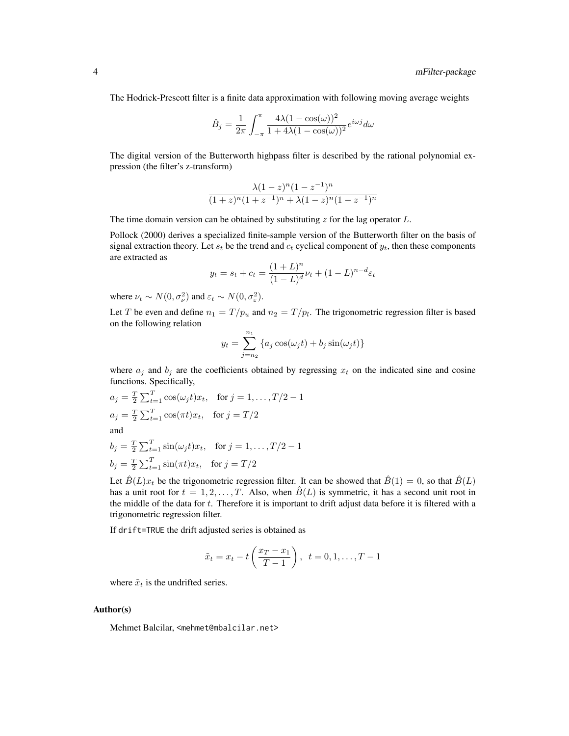The Hodrick-Prescott filter is a finite data approximation with following moving average weights

$$
\hat{B}_j = \frac{1}{2\pi} \int_{-\pi}^{\pi} \frac{4\lambda (1 - \cos(\omega))^2}{1 + 4\lambda (1 - \cos(\omega))^2} e^{i\omega j} d\omega
$$

The digital version of the Butterworth highpass filter is described by the rational polynomial expression (the filter's z-transform)

$$
\frac{\lambda(1-z)^n(1-z^{-1})^n}{(1+z)^n(1+z^{-1})^n + \lambda(1-z)^n(1-z^{-1})^n}
$$

The time domain version can be obtained by substituting  $z$  for the lag operator  $L$ .

Pollock (2000) derives a specialized finite-sample version of the Butterworth filter on the basis of signal extraction theory. Let  $s_t$  be the trend and  $c_t$  cyclical component of  $y_t$ , then these components are extracted as

$$
y_t = s_t + c_t = \frac{(1+L)^n}{(1-L)^d} \nu_t + (1-L)^{n-d} \varepsilon_t
$$

where  $\nu_t \sim N(0, \sigma_{\nu}^2)$  and  $\varepsilon_t \sim N(0, \sigma_{\varepsilon}^2)$ .

Let T be even and define  $n_1 = T/p_u$  and  $n_2 = T/p_l$ . The trigonometric regression filter is based on the following relation

$$
y_t = \sum_{j=n_2}^{n_1} \{a_j \cos(\omega_j t) + b_j \sin(\omega_j t)\}\
$$

where  $a_j$  and  $b_j$  are the coefficients obtained by regressing  $x_t$  on the indicated sine and cosine functions. Specifically,

$$
a_j = \frac{T}{2} \sum_{t=1}^T \cos(\omega_j t) x_t, \quad \text{for } j = 1, \dots, T/2 - 1
$$
  

$$
a_j = \frac{T}{2} \sum_{t=1}^T \cos(\pi t) x_t, \quad \text{for } j = T/2
$$

and

$$
b_j = \frac{T}{2} \sum_{t=1}^{T} \sin(\omega_j t) x_t, \text{ for } j = 1, ..., T/2 - 1
$$
  

$$
b_j = \frac{T}{2} \sum_{t=1}^{T} \sin(\pi t) x_t, \text{ for } j = T/2
$$

Let  $\hat{B}(L)x_t$  be the trigonometric regression filter. It can be showed that  $\hat{B}(1) = 0$ , so that  $\hat{B}(L)$ has a unit root for  $t = 1, 2, ..., T$ . Also, when  $\hat{B}(L)$  is symmetric, it has a second unit root in the middle of the data for  $t$ . Therefore it is important to drift adjust data before it is filtered with a trigonometric regression filter.

If drift=TRUE the drift adjusted series is obtained as

$$
\tilde{x}_t = x_t - t \left( \frac{x_T - x_1}{T - 1} \right), \ \ t = 0, 1, \dots, T - 1
$$

where  $\tilde{x}_t$  is the undrifted series.

#### Author(s)

Mehmet Balcilar, <mehmet@mbalcilar.net>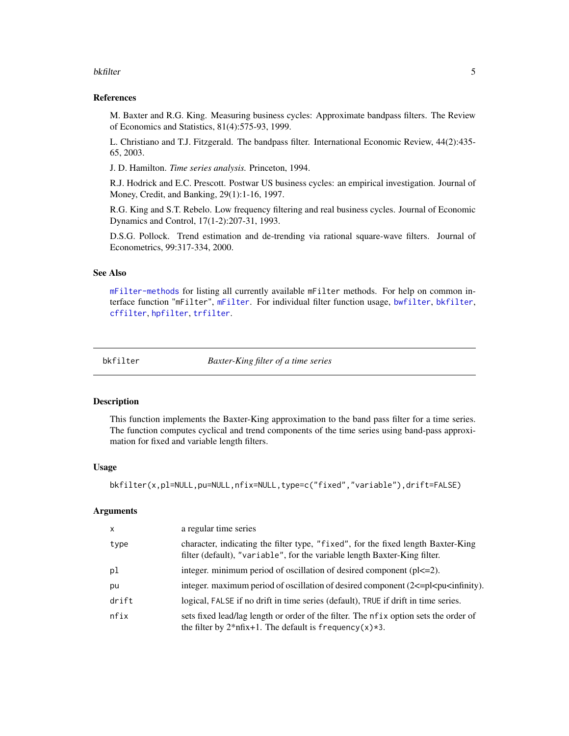#### <span id="page-4-0"></span>bkfilter 5

#### References

M. Baxter and R.G. King. Measuring business cycles: Approximate bandpass filters. The Review of Economics and Statistics, 81(4):575-93, 1999.

L. Christiano and T.J. Fitzgerald. The bandpass filter. International Economic Review, 44(2):435- 65, 2003.

J. D. Hamilton. *Time series analysis.* Princeton, 1994.

R.J. Hodrick and E.C. Prescott. Postwar US business cycles: an empirical investigation. Journal of Money, Credit, and Banking, 29(1):1-16, 1997.

R.G. King and S.T. Rebelo. Low frequency filtering and real business cycles. Journal of Economic Dynamics and Control, 17(1-2):207-31, 1993.

D.S.G. Pollock. Trend estimation and de-trending via rational square-wave filters. Journal of Econometrics, 99:317-334, 2000.

#### See Also

[mFilter-methods](#page-18-1) for listing all currently available mFilter methods. For help on common interface function "mFilter", [mFilter](#page-15-1). For individual filter function usage, [bwfilter](#page-7-1), [bkfilter](#page-4-1), [cffilter](#page-10-1), [hpfilter](#page-13-1), [trfilter](#page-20-1).

<span id="page-4-1"></span>

bkfilter *Baxter-King filter of a time series*

#### Description

This function implements the Baxter-King approximation to the band pass filter for a time series. The function computes cyclical and trend components of the time series using band-pass approximation for fixed and variable length filters.

#### Usage

bkfilter(x,pl=NULL,pu=NULL,nfix=NULL,type=c("fixed","variable"),drift=FALSE)

#### Arguments

| X     | a regular time series                                                                                                                                                                                                                                                                                |
|-------|------------------------------------------------------------------------------------------------------------------------------------------------------------------------------------------------------------------------------------------------------------------------------------------------------|
| type  | character, indicating the filter type, "fixed", for the fixed length Baxter-King<br>filter (default), "variable", for the variable length Baxter-King filter.                                                                                                                                        |
| pl    | integer. minimum period of oscillation of desired component $(p < 2)$ .                                                                                                                                                                                                                              |
| pu    | integer. maximum period of oscillation of desired component $(2\leq p\leq\text{p}1\leq\text{p}1\leq\text{p}1\leq\text{p}1\leq\text{p}1\leq\text{p}1\leq\text{p}1\leq\text{p}1\leq\text{p}1\leq\text{p}1\leq\text{p}1\leq\text{p}1\leq\text{p}1\leq\text{p}1\leq\text{p}1\leq\text{p}1\leq\text{p}1\$ |
| drift | logical, FALSE if no drift in time series (default), TRUE if drift in time series.                                                                                                                                                                                                                   |
| nfix  | sets fixed lead/lag length or order of the filter. The nf ix option sets the order of<br>the filter by $2 \pi f x + 1$ . The default is frequency (x) $\star$ 3.                                                                                                                                     |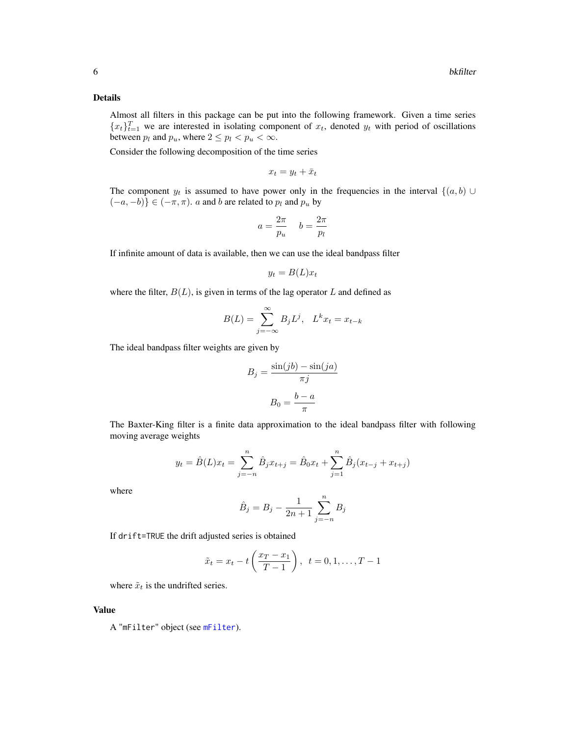#### Details

Almost all filters in this package can be put into the following framework. Given a time series  ${x_t}_{t=1}^T$  we are interested in isolating component of  $x_t$ , denoted  $y_t$  with period of oscillations between  $p_l$  and  $p_u$ , where  $2 \leq p_l < p_u < \infty$ .

Consider the following decomposition of the time series

$$
x_t = y_t + \bar{x}_t
$$

The component  $y_t$  is assumed to have power only in the frequencies in the interval  $\{(a, b)$  $(-a, -b)$ } ∈  $(-\pi, \pi)$ . *a* and *b* are related to  $p_l$  and  $p_u$  by

$$
a = \frac{2\pi}{p_u} \quad b = \frac{2\pi}{p_l}
$$

If infinite amount of data is available, then we can use the ideal bandpass filter

$$
y_t = B(L)x_t
$$

where the filter,  $B(L)$ , is given in terms of the lag operator L and defined as

$$
B(L) = \sum_{j=-\infty}^{\infty} B_j L^j, \quad L^k x_t = x_{t-k}
$$

The ideal bandpass filter weights are given by

$$
B_j = \frac{\sin(jb) - \sin(ja)}{\pi j}
$$

$$
B_0 = \frac{b - a}{\pi}
$$

The Baxter-King filter is a finite data approximation to the ideal bandpass filter with following moving average weights

$$
y_t = \hat{B}(L)x_t = \sum_{j=-n}^{n} \hat{B}_j x_{t+j} = \hat{B}_0 x_t + \sum_{j=1}^{n} \hat{B}_j (x_{t-j} + x_{t+j})
$$

where

$$
\hat{B}_j = B_j - \frac{1}{2n+1} \sum_{j=-n}^{n} B_j
$$

If drift=TRUE the drift adjusted series is obtained

$$
\tilde{x}_t = x_t - t \left( \frac{x_T - x_1}{T - 1} \right), \ t = 0, 1, \dots, T - 1
$$

where  $\tilde{x}_t$  is the undrifted series.

#### Value

A "mFilter" object (see [mFilter](#page-15-1)).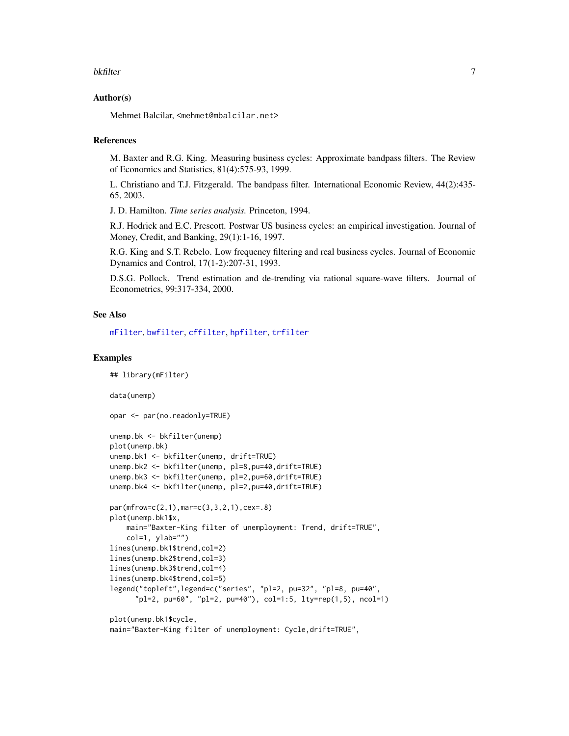#### <span id="page-6-0"></span>bkfilter 7

#### Author(s)

Mehmet Balcilar, <mehmet@mbalcilar.net>

#### References

M. Baxter and R.G. King. Measuring business cycles: Approximate bandpass filters. The Review of Economics and Statistics, 81(4):575-93, 1999.

L. Christiano and T.J. Fitzgerald. The bandpass filter. International Economic Review, 44(2):435- 65, 2003.

J. D. Hamilton. *Time series analysis.* Princeton, 1994.

R.J. Hodrick and E.C. Prescott. Postwar US business cycles: an empirical investigation. Journal of Money, Credit, and Banking, 29(1):1-16, 1997.

R.G. King and S.T. Rebelo. Low frequency filtering and real business cycles. Journal of Economic Dynamics and Control, 17(1-2):207-31, 1993.

D.S.G. Pollock. Trend estimation and de-trending via rational square-wave filters. Journal of Econometrics, 99:317-334, 2000.

#### See Also

[mFilter](#page-15-1), [bwfilter](#page-7-1), [cffilter](#page-10-1), [hpfilter](#page-13-1), [trfilter](#page-20-1)

#### Examples

```
## library(mFilter)
data(unemp)
opar <- par(no.readonly=TRUE)
unemp.bk <- bkfilter(unemp)
plot(unemp.bk)
unemp.bk1 <- bkfilter(unemp, drift=TRUE)
unemp.bk2 <- bkfilter(unemp, pl=8,pu=40,drift=TRUE)
unemp.bk3 <- bkfilter(unemp, pl=2,pu=60,drift=TRUE)
unemp.bk4 <- bkfilter(unemp, pl=2,pu=40,drift=TRUE)
par(mfrow=c(2,1),mar=c(3,3,2,1),cex=.8)
plot(unemp.bk1$x,
   main="Baxter-King filter of unemployment: Trend, drift=TRUE",
   col=1, ylab="")
lines(unemp.bk1$trend,col=2)
lines(unemp.bk2$trend,col=3)
lines(unemp.bk3$trend,col=4)
lines(unemp.bk4$trend,col=5)
legend("topleft",legend=c("series", "pl=2, pu=32", "pl=8, pu=40",
      "pl=2, pu=60", "pl=2, pu=40"), col=1:5, lty=rep(1,5), ncol=1)
plot(unemp.bk1$cycle,
main="Baxter-King filter of unemployment: Cycle,drift=TRUE",
```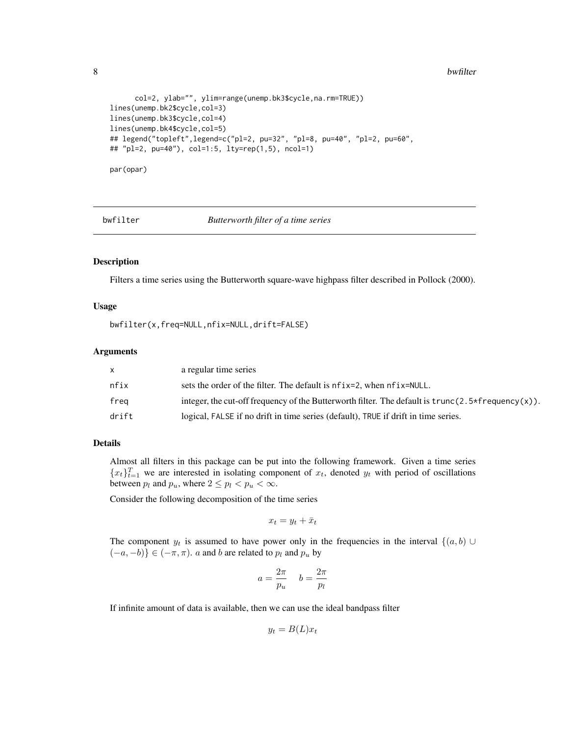8 bwfilter and the state of the state of the state of the state of the state of the state of the state of the state of the state of the state of the state of the state of the state of the state of the state of the state of

```
col=2, ylab="", ylim=range(unemp.bk3$cycle,na.rm=TRUE))
lines(unemp.bk2$cycle,col=3)
lines(unemp.bk3$cycle,col=4)
lines(unemp.bk4$cycle,col=5)
## legend("topleft",legend=c("pl=2, pu=32", "pl=8, pu=40", "pl=2, pu=60",
## "pl=2, pu=40"), col=1:5, lty=rep(1,5), ncol=1)
par(opar)
```
<span id="page-7-1"></span>

#### bwfilter *Butterworth filter of a time series*

#### Description

Filters a time series using the Butterworth square-wave highpass filter described in Pollock (2000).

#### Usage

bwfilter(x,freq=NULL,nfix=NULL,drift=FALSE)

#### Arguments

|       | a regular time series                                                                                |
|-------|------------------------------------------------------------------------------------------------------|
| nfix  | sets the order of the filter. The default is nf ix=2, when nf ix=NULL.                               |
| frea  | integer, the cut-off frequency of the Butterworth filter. The default is $trunc(2.5*frequency(x))$ . |
| drift | logical, FALSE if no drift in time series (default), TRUE if drift in time series.                   |

#### Details

Almost all filters in this package can be put into the following framework. Given a time series  ${x_t}_{t=1}^T$  we are interested in isolating component of  $x_t$ , denoted  $y_t$  with period of oscillations between  $p_l$  and  $p_u$ , where  $2 \leq p_l < p_u < \infty$ .

Consider the following decomposition of the time series

$$
x_t = y_t + \bar{x}_t
$$

The component  $y_t$  is assumed to have power only in the frequencies in the interval  $\{(a, b) \cup$  $(-a, -b)$ } ∈  $(-\pi, \pi)$ . *a* and *b* are related to  $p_l$  and  $p_u$  by

$$
a = \frac{2\pi}{p_u} \quad b = \frac{2\pi}{p_l}
$$

If infinite amount of data is available, then we can use the ideal bandpass filter

$$
y_t = B(L)x_t
$$

<span id="page-7-0"></span>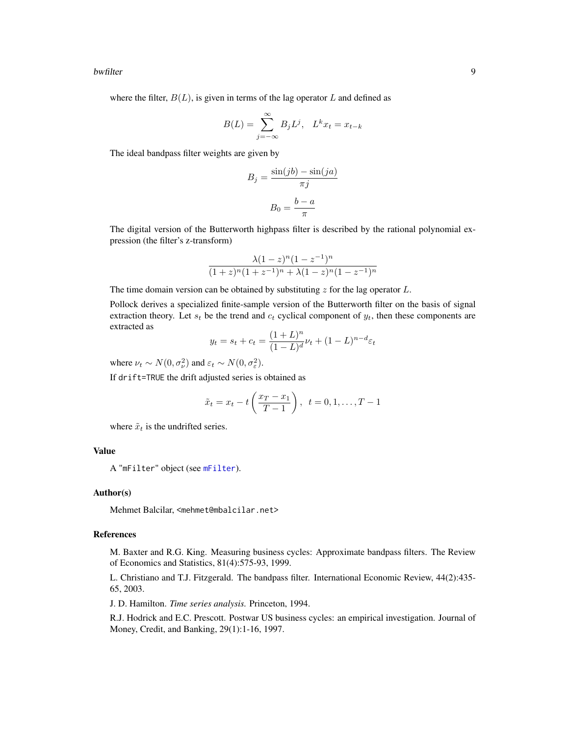#### <span id="page-8-0"></span>bwfilter 9

where the filter,  $B(L)$ , is given in terms of the lag operator L and defined as

$$
B(L) = \sum_{j=-\infty}^{\infty} B_j L^j, \quad L^k x_t = x_{t-k}
$$

The ideal bandpass filter weights are given by

$$
B_j = \frac{\sin(jb) - \sin(ja)}{\pi j}
$$

$$
B_0 = \frac{b - a}{\pi}
$$

The digital version of the Butterworth highpass filter is described by the rational polynomial expression (the filter's z-transform)

$$
\frac{\lambda(1-z)^n(1-z^{-1})^n}{(1+z)^n(1+z^{-1})^n + \lambda(1-z)^n(1-z^{-1})^n}
$$

The time domain version can be obtained by substituting  $z$  for the lag operator  $L$ .

Pollock derives a specialized finite-sample version of the Butterworth filter on the basis of signal extraction theory. Let  $s_t$  be the trend and  $c_t$  cyclical component of  $y_t$ , then these components are extracted as

$$
y_t = s_t + c_t = \frac{(1+L)^n}{(1-L)^d} \nu_t + (1-L)^{n-d} \varepsilon_t
$$

where  $\nu_t \sim N(0, \sigma_{\nu}^2)$  and  $\varepsilon_t \sim N(0, \sigma_{\varepsilon}^2)$ .

If drift=TRUE the drift adjusted series is obtained as

$$
\tilde{x}_t = x_t - t \left( \frac{x_T - x_1}{T - 1} \right), \ t = 0, 1, \dots, T - 1
$$

where  $\tilde{x}_t$  is the undrifted series.

#### Value

A "mFilter" object (see [mFilter](#page-15-1)).

#### Author(s)

Mehmet Balcilar, <mehmet@mbalcilar.net>

#### References

M. Baxter and R.G. King. Measuring business cycles: Approximate bandpass filters. The Review of Economics and Statistics, 81(4):575-93, 1999.

L. Christiano and T.J. Fitzgerald. The bandpass filter. International Economic Review, 44(2):435- 65, 2003.

J. D. Hamilton. *Time series analysis.* Princeton, 1994.

R.J. Hodrick and E.C. Prescott. Postwar US business cycles: an empirical investigation. Journal of Money, Credit, and Banking, 29(1):1-16, 1997.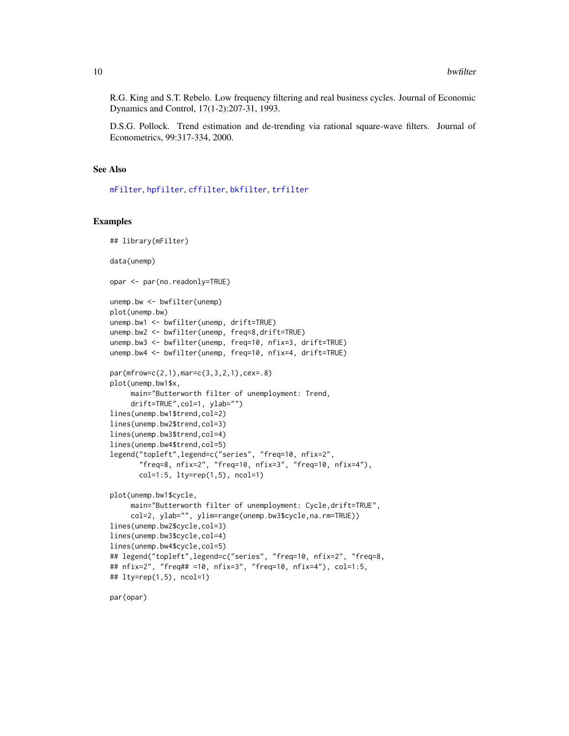<span id="page-9-0"></span>R.G. King and S.T. Rebelo. Low frequency filtering and real business cycles. Journal of Economic Dynamics and Control, 17(1-2):207-31, 1993.

D.S.G. Pollock. Trend estimation and de-trending via rational square-wave filters. Journal of Econometrics, 99:317-334, 2000.

#### See Also

[mFilter](#page-15-1), [hpfilter](#page-13-1), [cffilter](#page-10-1), [bkfilter](#page-4-1), [trfilter](#page-20-1)

#### Examples

```
## library(mFilter)
data(unemp)
opar <- par(no.readonly=TRUE)
unemp.bw <- bwfilter(unemp)
plot(unemp.bw)
unemp.bw1 <- bwfilter(unemp, drift=TRUE)
unemp.bw2 <- bwfilter(unemp, freq=8,drift=TRUE)
unemp.bw3 <- bwfilter(unemp, freq=10, nfix=3, drift=TRUE)
unemp.bw4 <- bwfilter(unemp, freq=10, nfix=4, drift=TRUE)
par(mfrow=c(2,1),mar=c(3,3,2,1),cex=.8)
plot(unemp.bw1$x,
     main="Butterworth filter of unemployment: Trend,
     drift=TRUE",col=1, ylab="")
lines(unemp.bw1$trend,col=2)
lines(unemp.bw2$trend,col=3)
lines(unemp.bw3$trend,col=4)
lines(unemp.bw4$trend,col=5)
legend("topleft",legend=c("series", "freq=10, nfix=2",
       "freq=8, nfix=2", "freq=10, nfix=3", "freq=10, nfix=4"),
      col=1:5, lty=rep(1,5), ncol=1)
plot(unemp.bw1$cycle,
     main="Butterworth filter of unemployment: Cycle,drift=TRUE",
     col=2, ylab="", ylim=range(unemp.bw3$cycle,na.rm=TRUE))
lines(unemp.bw2$cycle,col=3)
lines(unemp.bw3$cycle,col=4)
lines(unemp.bw4$cycle,col=5)
## legend("topleft",legend=c("series", "freq=10, nfix=2", "freq=8,
## nfix=2", "freq## =10, nfix=3", "freq=10, nfix=4"), col=1:5,
## lty=rep(1,5), ncol=1)
```
par(opar)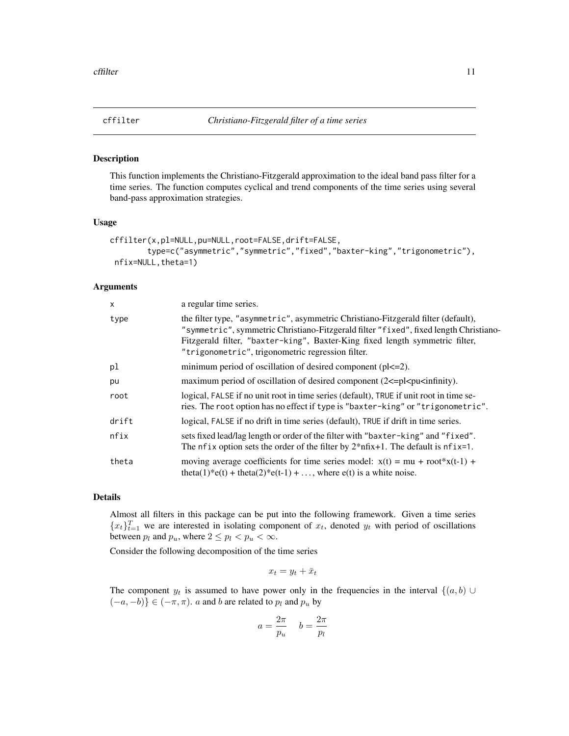<span id="page-10-1"></span><span id="page-10-0"></span>

#### Description

This function implements the Christiano-Fitzgerald approximation to the ideal band pass filter for a time series. The function computes cyclical and trend components of the time series using several band-pass approximation strategies.

#### Usage

```
cffilter(x,pl=NULL,pu=NULL,root=FALSE,drift=FALSE,
        type=c("asymmetric","symmetric","fixed","baxter-king","trigonometric"),
nfix=NULL,theta=1)
```
#### Arguments

| X     | a regular time series.                                                                                                                                                                                                                                                                                          |
|-------|-----------------------------------------------------------------------------------------------------------------------------------------------------------------------------------------------------------------------------------------------------------------------------------------------------------------|
| type  | the filter type, "asymmetric", asymmetric Christiano-Fitzgerald filter (default),<br>"symmetric", symmetric Christiano-Fitzgerald filter "fixed", fixed length Christiano-<br>Fitzgerald filter, "baxter-king", Baxter-King fixed length symmetric filter,<br>"trigonometric", trigonometric regression filter. |
| pl    | minimum period of oscillation of desired component $(p l l l l l l l l l l l l l l l l l l l l l l l l$                                                                                                                                                                                                         |
| pu    | maximum period of oscillation of desired component $(2\leq p\leq n\leq \min\{n\})$ .                                                                                                                                                                                                                            |
| root  | logical, FALSE if no unit root in time series (default), TRUE if unit root in time se-<br>ries. The root option has no effect if type is "baxter-king" or "trigonometric".                                                                                                                                      |
| drift | logical, FALSE if no drift in time series (default), TRUE if drift in time series.                                                                                                                                                                                                                              |
| nfix  | sets fixed lead/lag length or order of the filter with "baxter-king" and "fixed".<br>The nfix option sets the order of the filter by $2*nfix+1$ . The default is nfix=1.                                                                                                                                        |
| theta | moving average coefficients for time series model: $x(t) = mu + root^{*}x(t-1) +$<br>theta(1)*e(t) + theta(2)*e(t-1) + , where e(t) is a white noise.                                                                                                                                                           |

#### Details

Almost all filters in this package can be put into the following framework. Given a time series  ${x_t}_{t=1}^T$  we are interested in isolating component of  $x_t$ , denoted  $y_t$  with period of oscillations between  $p_l$  and  $p_u$ , where  $2 \leq p_l < p_u < \infty$ .

Consider the following decomposition of the time series

$$
x_t = y_t + \bar{x}_t
$$

The component  $y_t$  is assumed to have power only in the frequencies in the interval  $\{(a, b)$  $(-a, -b)$ } ∈  $(-\pi, \pi)$ . *a* and *b* are related to  $p_l$  and  $p_u$  by

$$
a = \frac{2\pi}{p_u} \quad b = \frac{2\pi}{p_l}
$$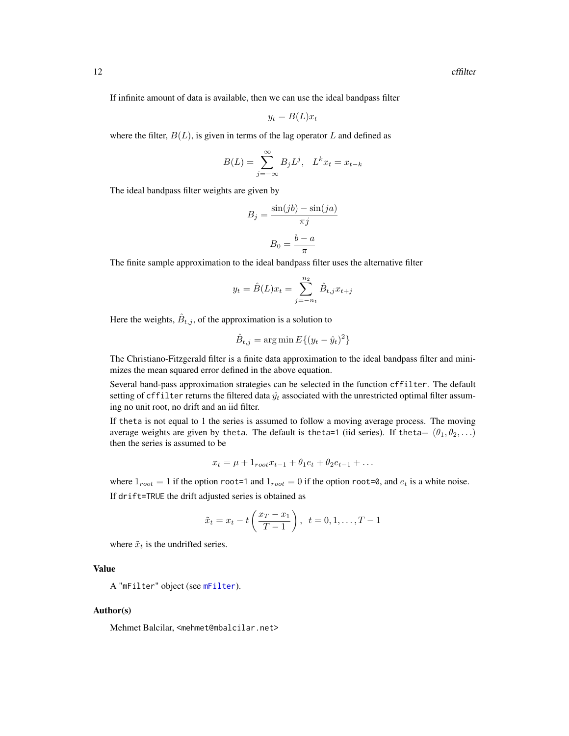<span id="page-11-0"></span>If infinite amount of data is available, then we can use the ideal bandpass filter

$$
y_t = B(L)x_t
$$

where the filter,  $B(L)$ , is given in terms of the lag operator L and defined as

$$
B(L) = \sum_{j=-\infty}^{\infty} B_j L^j, \quad L^k x_t = x_{t-k}
$$

The ideal bandpass filter weights are given by

$$
B_j = \frac{\sin(jb) - \sin(ja)}{\pi j}
$$

$$
B_0 = \frac{b - a}{\pi}
$$

The finite sample approximation to the ideal bandpass filter uses the alternative filter

$$
y_t = \hat{B}(L)x_t = \sum_{j=-n_1}^{n_2} \hat{B}_{t,j}x_{t+j}
$$

Here the weights,  $\hat{B}_{t,j}$ , of the approximation is a solution to

$$
\hat{B}_{t,j} = \arg\min E\{(y_t - \hat{y}_t)^2\}
$$

The Christiano-Fitzgerald filter is a finite data approximation to the ideal bandpass filter and minimizes the mean squared error defined in the above equation.

Several band-pass approximation strategies can be selected in the function cffilter. The default setting of cffilter returns the filtered data  $\hat{y}_t$  associated with the unrestricted optimal filter assuming no unit root, no drift and an iid filter.

If theta is not equal to 1 the series is assumed to follow a moving average process. The moving average weights are given by theta. The default is theta=1 (iid series). If theta=  $(\theta_1, \theta_2, \ldots)$ then the series is assumed to be

$$
x_t = \mu + 1_{root} x_{t-1} + \theta_1 e_t + \theta_2 e_{t-1} + \dots
$$

where  $1_{root} = 1$  if the option root=1 and  $1_{root} = 0$  if the option root=0, and  $e_t$  is a white noise. If drift=TRUE the drift adjusted series is obtained as

$$
\tilde{x}_t = x_t - t \left( \frac{x_T - x_1}{T - 1} \right), \ \ t = 0, 1, \dots, T - 1
$$

where  $\tilde{x}_t$  is the undrifted series.

#### Value

A "mFilter" object (see [mFilter](#page-15-1)).

#### Author(s)

Mehmet Balcilar, <mehmet@mbalcilar.net>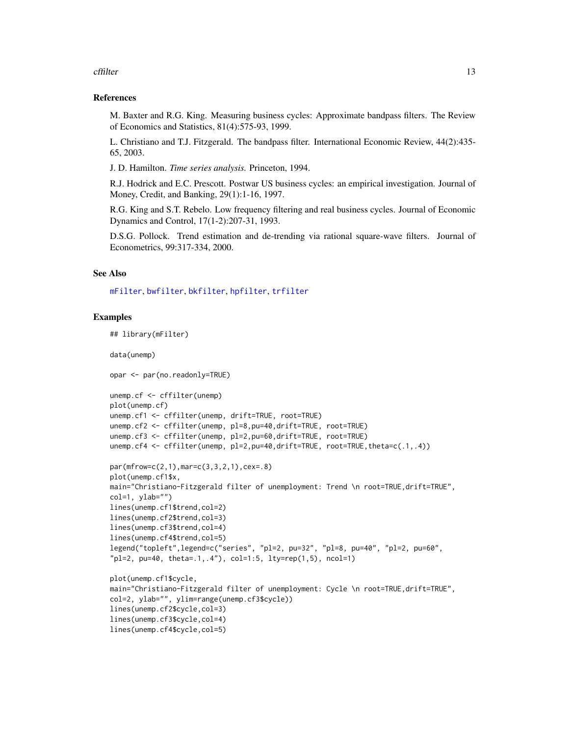#### <span id="page-12-0"></span>cffilter that the contract of the contract of the contract of the contract of the contract of the contract of the contract of the contract of the contract of the contract of the contract of the contract of the contract of

#### References

M. Baxter and R.G. King. Measuring business cycles: Approximate bandpass filters. The Review of Economics and Statistics, 81(4):575-93, 1999.

L. Christiano and T.J. Fitzgerald. The bandpass filter. International Economic Review, 44(2):435- 65, 2003.

J. D. Hamilton. *Time series analysis.* Princeton, 1994.

R.J. Hodrick and E.C. Prescott. Postwar US business cycles: an empirical investigation. Journal of Money, Credit, and Banking, 29(1):1-16, 1997.

R.G. King and S.T. Rebelo. Low frequency filtering and real business cycles. Journal of Economic Dynamics and Control, 17(1-2):207-31, 1993.

D.S.G. Pollock. Trend estimation and de-trending via rational square-wave filters. Journal of Econometrics, 99:317-334, 2000.

#### See Also

[mFilter](#page-15-1), [bwfilter](#page-7-1), [bkfilter](#page-4-1), [hpfilter](#page-13-1), [trfilter](#page-20-1)

#### Examples

```
## library(mFilter)
data(unemp)
opar <- par(no.readonly=TRUE)
unemp.cf <- cffilter(unemp)
plot(unemp.cf)
unemp.cf1 <- cffilter(unemp, drift=TRUE, root=TRUE)
unemp.cf2 <- cffilter(unemp, pl=8,pu=40,drift=TRUE, root=TRUE)
unemp.cf3 <- cffilter(unemp, pl=2,pu=60,drift=TRUE, root=TRUE)
unemp.cf4 <- cffilter(unemp, pl=2,pu=40,drift=TRUE, root=TRUE,theta=c(.1,.4))
par(mfrow=c(2,1),mar=c(3,3,2,1),cex=.8)
plot(unemp.cf1$x,
main="Christiano-Fitzgerald filter of unemployment: Trend \n root=TRUE,drift=TRUE",
col=1, ylab="")
lines(unemp.cf1$trend,col=2)
lines(unemp.cf2$trend,col=3)
lines(unemp.cf3$trend,col=4)
lines(unemp.cf4$trend,col=5)
legend("topleft",legend=c("series", "pl=2, pu=32", "pl=8, pu=40", "pl=2, pu=60",
"pl=2, pu=40, theta=.1,.4"), col=1:5, lty=rep(1,5), ncol=1)
plot(unemp.cf1$cycle,
main="Christiano-Fitzgerald filter of unemployment: Cycle \n root=TRUE,drift=TRUE",
col=2, ylab="", ylim=range(unemp.cf3$cycle))
lines(unemp.cf2$cycle,col=3)
lines(unemp.cf3$cycle,col=4)
lines(unemp.cf4$cycle,col=5)
```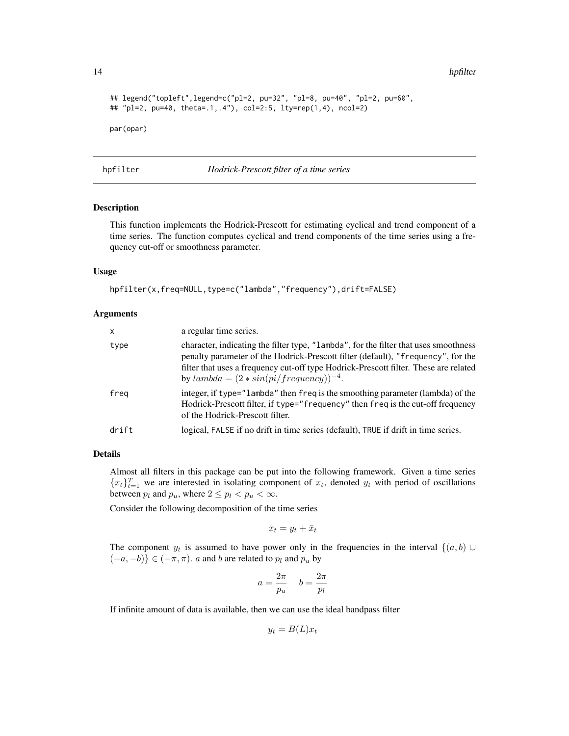<span id="page-13-0"></span>14 hpfilter and the set of the set of the set of the set of the set of the set of the set of the set of the set of the set of the set of the set of the set of the set of the set of the set of the set of the set of the set

```
## legend("topleft",legend=c("pl=2, pu=32", "pl=8, pu=40", "pl=2, pu=60",
## "pl=2, pu=40, theta=.1,.4"), col=2:5, lty=rep(1,4), ncol=2)
par(opar)
```
<span id="page-13-1"></span>hpfilter *Hodrick-Prescott filter of a time series*

#### Description

This function implements the Hodrick-Prescott for estimating cyclical and trend component of a time series. The function computes cyclical and trend components of the time series using a frequency cut-off or smoothness parameter.

#### Usage

```
hpfilter(x,freq=NULL,type=c("lambda","frequency"),drift=FALSE)
```
#### Arguments

| $\mathsf{x}$ | a regular time series.                                                                                                                                                                                                                                                                                             |
|--------------|--------------------------------------------------------------------------------------------------------------------------------------------------------------------------------------------------------------------------------------------------------------------------------------------------------------------|
| type         | character, indicating the filter type, "lambda", for the filter that uses smoothness<br>penalty parameter of the Hodrick-Prescott filter (default), "frequency", for the<br>filter that uses a frequency cut-off type Hodrick-Prescott filter. These are related<br>by $lambda = (2 * sin(pi / frequency))^{-4}$ . |
| freg         | integer, if type="lambda" then freq is the smoothing parameter (lambda) of the<br>Hodrick-Prescott filter, if type="frequency" then freq is the cut-off frequency<br>of the Hodrick-Prescott filter.                                                                                                               |
| drift        | logical, FALSE if no drift in time series (default), TRUE if drift in time series.                                                                                                                                                                                                                                 |

#### Details

Almost all filters in this package can be put into the following framework. Given a time series  ${x_t}_{t=1}^T$  we are interested in isolating component of  $x_t$ , denoted  $y_t$  with period of oscillations between  $p_l$  and  $p_u$ , where  $2 \leq p_l < p_u < \infty$ .

Consider the following decomposition of the time series

 $x_t = y_t + \bar{x}_t$ 

The component  $y_t$  is assumed to have power only in the frequencies in the interval  $\{(a, b) \cup$  $(-a, -b)$ } ∈  $(-\pi, \pi)$ . *a* and *b* are related to  $p_l$  and  $p_u$  by

$$
a = \frac{2\pi}{p_u} \quad b = \frac{2\pi}{p_l}
$$

If infinite amount of data is available, then we can use the ideal bandpass filter

$$
y_t = B(L)x_t
$$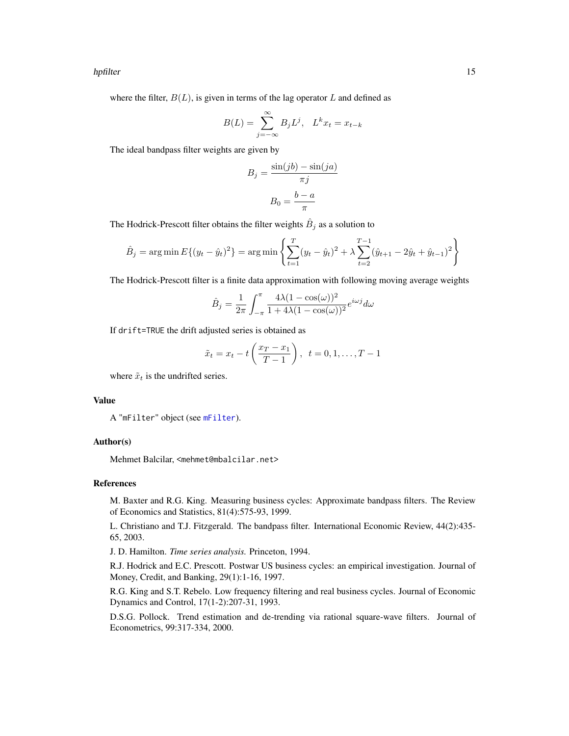#### <span id="page-14-0"></span>hpfilter that the contract of the contract of the contract of the contract of the contract of the contract of the contract of the contract of the contract of the contract of the contract of the contract of the contract of

where the filter,  $B(L)$ , is given in terms of the lag operator L and defined as

$$
B(L) = \sum_{j=-\infty}^{\infty} B_j L^j, \quad L^k x_t = x_{t-k}
$$

The ideal bandpass filter weights are given by

$$
B_j = \frac{\sin(jb) - \sin(ja)}{\pi j}
$$

$$
B_0 = \frac{b - a}{\pi}
$$

The Hodrick-Prescott filter obtains the filter weights  $\hat{B}_j$  as a solution to

$$
\hat{B}_j = \arg\min E\{(y_t - \hat{y}_t)^2\} = \arg\min \left\{\sum_{t=1}^T (y_t - \hat{y}_t)^2 + \lambda \sum_{t=2}^{T-1} (\hat{y}_{t+1} - 2\hat{y}_t + \hat{y}_{t-1})^2\right\}
$$

The Hodrick-Prescott filter is a finite data approximation with following moving average weights

$$
\hat{B}_j = \frac{1}{2\pi} \int_{-\pi}^{\pi} \frac{4\lambda (1 - \cos(\omega))^2}{1 + 4\lambda (1 - \cos(\omega))^2} e^{i\omega j} d\omega
$$

If drift=TRUE the drift adjusted series is obtained as

$$
\tilde{x}_t = x_t - t \left( \frac{x_T - x_1}{T - 1} \right), \ \ t = 0, 1, \dots, T - 1
$$

where  $\tilde{x}_t$  is the undrifted series.

#### Value

A "mFilter" object (see [mFilter](#page-15-1)).

#### Author(s)

Mehmet Balcilar, <mehmet@mbalcilar.net>

#### References

M. Baxter and R.G. King. Measuring business cycles: Approximate bandpass filters. The Review of Economics and Statistics, 81(4):575-93, 1999.

L. Christiano and T.J. Fitzgerald. The bandpass filter. International Economic Review, 44(2):435- 65, 2003.

J. D. Hamilton. *Time series analysis.* Princeton, 1994.

R.J. Hodrick and E.C. Prescott. Postwar US business cycles: an empirical investigation. Journal of Money, Credit, and Banking, 29(1):1-16, 1997.

R.G. King and S.T. Rebelo. Low frequency filtering and real business cycles. Journal of Economic Dynamics and Control, 17(1-2):207-31, 1993.

D.S.G. Pollock. Trend estimation and de-trending via rational square-wave filters. Journal of Econometrics, 99:317-334, 2000.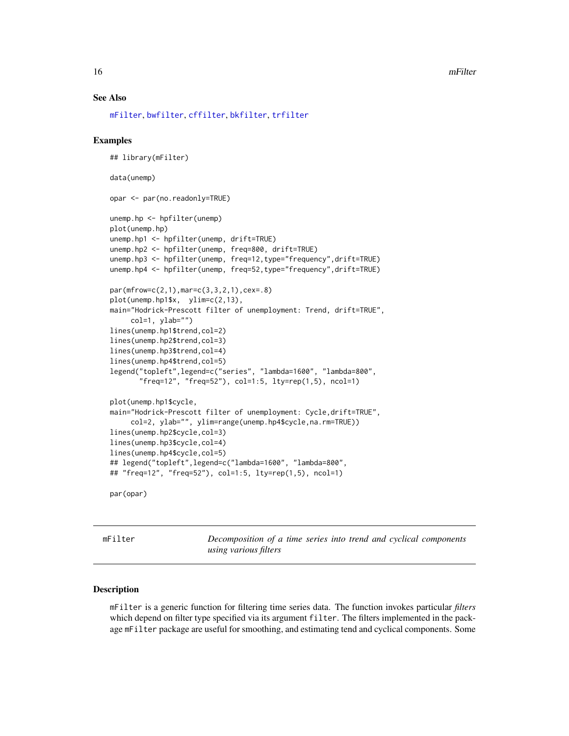#### <span id="page-15-0"></span>16 mFilter

#### See Also

[mFilter](#page-15-1), [bwfilter](#page-7-1), [cffilter](#page-10-1), [bkfilter](#page-4-1), [trfilter](#page-20-1)

#### Examples

```
## library(mFilter)
data(unemp)
opar <- par(no.readonly=TRUE)
unemp.hp <- hpfilter(unemp)
plot(unemp.hp)
unemp.hp1 <- hpfilter(unemp, drift=TRUE)
unemp.hp2 <- hpfilter(unemp, freq=800, drift=TRUE)
unemp.hp3 <- hpfilter(unemp, freq=12,type="frequency",drift=TRUE)
unemp.hp4 <- hpfilter(unemp, freq=52,type="frequency",drift=TRUE)
par(mfrow=c(2,1),mar=c(3,3,2,1),cex=.8)
plot(unemp.hp1$x, ylim=c(2,13),
main="Hodrick-Prescott filter of unemployment: Trend, drift=TRUE",
     col=1, ylab="")
lines(unemp.hp1$trend,col=2)
lines(unemp.hp2$trend,col=3)
lines(unemp.hp3$trend,col=4)
lines(unemp.hp4$trend,col=5)
legend("topleft",legend=c("series", "lambda=1600", "lambda=800",
       "freq=12", "freq=52"), col=1:5, lty=rep(1,5), ncol=1)
plot(unemp.hp1$cycle,
main="Hodrick-Prescott filter of unemployment: Cycle,drift=TRUE",
     col=2, ylab="", ylim=range(unemp.hp4$cycle,na.rm=TRUE))
lines(unemp.hp2$cycle,col=3)
lines(unemp.hp3$cycle,col=4)
lines(unemp.hp4$cycle,col=5)
## legend("topleft",legend=c("lambda=1600", "lambda=800",
## "freq=12", "freq=52"), col=1:5, lty=rep(1,5), ncol=1)
par(opar)
```
<span id="page-15-1"></span>mFilter *Decomposition of a time series into trend and cyclical components using various filters*

#### Description

mFilter is a generic function for filtering time series data. The function invokes particular *filters* which depend on filter type specified via its argument filter. The filters implemented in the package mFilter package are useful for smoothing, and estimating tend and cyclical components. Some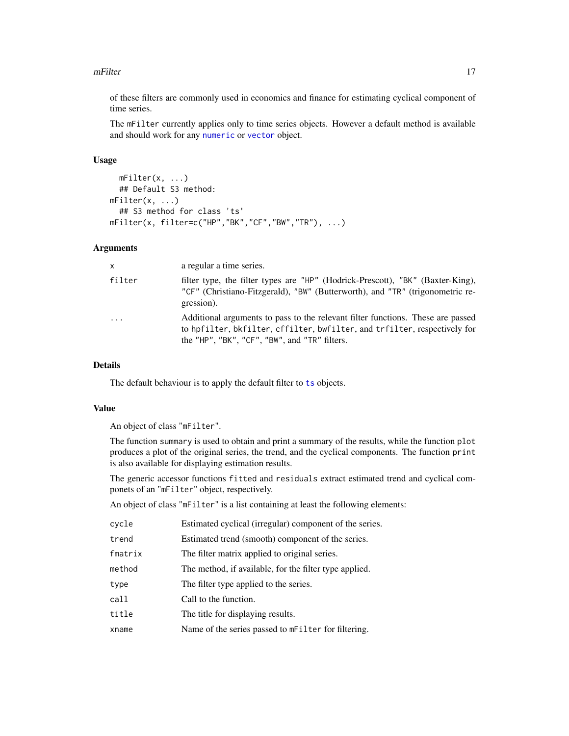#### <span id="page-16-0"></span>mFilter 17

of these filters are commonly used in economics and finance for estimating cyclical component of time series.

The mFilter currently applies only to time series objects. However a default method is available and should work for any [numeric](#page-0-0) or [vector](#page-0-0) object.

#### Usage

```
mFilter(x, ...)
  ## Default S3 method:
mFilter(x, ...)## S3 method for class 'ts'
mFilter(x, filter=c("HP", "BK", "CF", "BW", "TR"), ...)
```
#### Arguments

| x      | a regular a time series.                                                                                                                                                                                      |
|--------|---------------------------------------------------------------------------------------------------------------------------------------------------------------------------------------------------------------|
| filter | filter type, the filter types are "HP" (Hodrick-Prescott), "BK" (Baxter-King),<br>"CF" (Christiano-Fitzgerald), "BW" (Butterworth), and "TR" (trigonometric re-<br>gression).                                 |
| .      | Additional arguments to pass to the relevant filter functions. These are passed<br>to hpfilter, bkfilter, cffilter, bwfilter, and trfilter, respectively for<br>the "HP", "BK", "CF", "BW", and "TR" filters. |

#### Details

The default behaviour is to apply the default filter to [ts](#page-0-0) objects.

#### Value

An object of class "mFilter".

The function summary is used to obtain and print a summary of the results, while the function plot produces a plot of the original series, the trend, and the cyclical components. The function print is also available for displaying estimation results.

The generic accessor functions fitted and residuals extract estimated trend and cyclical componets of an "mFilter" object, respectively.

An object of class "mFilter" is a list containing at least the following elements:

| cycle   | Estimated cyclical (irregular) component of the series. |
|---------|---------------------------------------------------------|
| trend   | Estimated trend (smooth) component of the series.       |
| fmatrix | The filter matrix applied to original series.           |
| method  | The method, if available, for the filter type applied.  |
| type    | The filter type applied to the series.                  |
| call    | Call to the function.                                   |
| title   | The title for displaying results.                       |
| xname   | Name of the series passed to mFilter for filtering.     |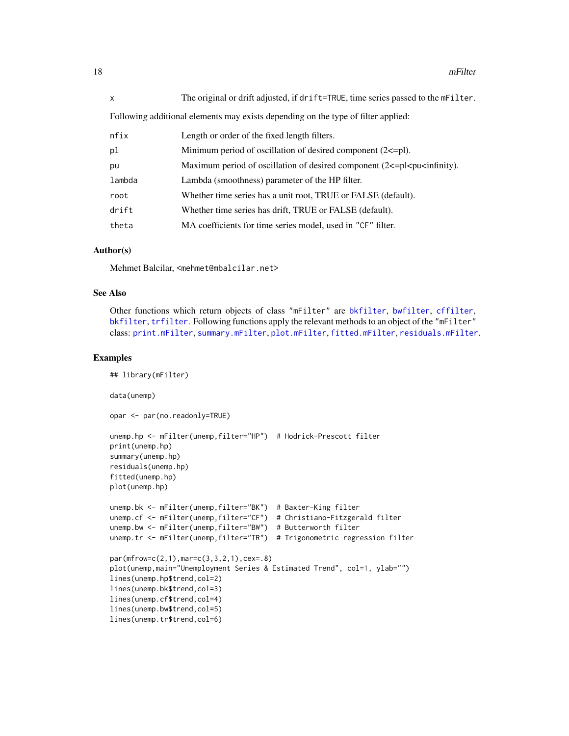<span id="page-17-0"></span>

| $\mathsf{x}$                                                                      | The original or drift adjusted, if drift=TRUE, time series passed to the mFilter.         |  |  |  |  |  |
|-----------------------------------------------------------------------------------|-------------------------------------------------------------------------------------------|--|--|--|--|--|
| Following additional elements may exists depending on the type of filter applied: |                                                                                           |  |  |  |  |  |
| nfix                                                                              | Length or order of the fixed length filters.                                              |  |  |  |  |  |
| pl                                                                                | Minimum period of oscillation of desired component $(2\le -pl)$ .                         |  |  |  |  |  |
| pu                                                                                | Maximum period of oscillation of desired component $(2\le p$ l $\le p$ u $\le$ infinity). |  |  |  |  |  |
| lambda                                                                            | Lambda (smoothness) parameter of the HP filter.                                           |  |  |  |  |  |
| root                                                                              | Whether time series has a unit root, TRUE or FALSE (default).                             |  |  |  |  |  |

| drift | Whether time series has drift. TRUE or FALSE (default). |
|-------|---------------------------------------------------------|

theta MA coefficients for time series model, used in "CF" filter.

#### Author(s)

Mehmet Balcilar, <mehmet@mbalcilar.net>

#### See Also

Other functions which return objects of class "mFilter" are [bkfilter](#page-4-1), [bwfilter](#page-7-1), [cffilter](#page-10-1), [bkfilter](#page-4-1), [trfilter](#page-20-1). Following functions apply the relevant methods to an object of the "mFilter" class: [print.mFilter](#page-18-2), [summary.mFilter](#page-18-2), [plot.mFilter](#page-18-2), [fitted.mFilter](#page-18-2), [residuals.mFilter](#page-18-2).

#### Examples

```
## library(mFilter)
data(unemp)
opar <- par(no.readonly=TRUE)
unemp.hp <- mFilter(unemp,filter="HP") # Hodrick-Prescott filter
print(unemp.hp)
summary(unemp.hp)
residuals(unemp.hp)
fitted(unemp.hp)
plot(unemp.hp)
unemp.bk <- mFilter(unemp,filter="BK") # Baxter-King filter
unemp.cf <- mFilter(unemp,filter="CF") # Christiano-Fitzgerald filter
unemp.bw <- mFilter(unemp,filter="BW") # Butterworth filter
unemp.tr <- mFilter(unemp,filter="TR") # Trigonometric regression filter
par(mfrow=c(2,1),mar=c(3,3,2,1),cex=.8)
plot(unemp, main="Unemployment Series & Estimated Trend", col=1, ylab="")
lines(unemp.hp$trend,col=2)
lines(unemp.bk$trend,col=3)
lines(unemp.cf$trend,col=4)
lines(unemp.bw$trend,col=5)
lines(unemp.tr$trend,col=6)
```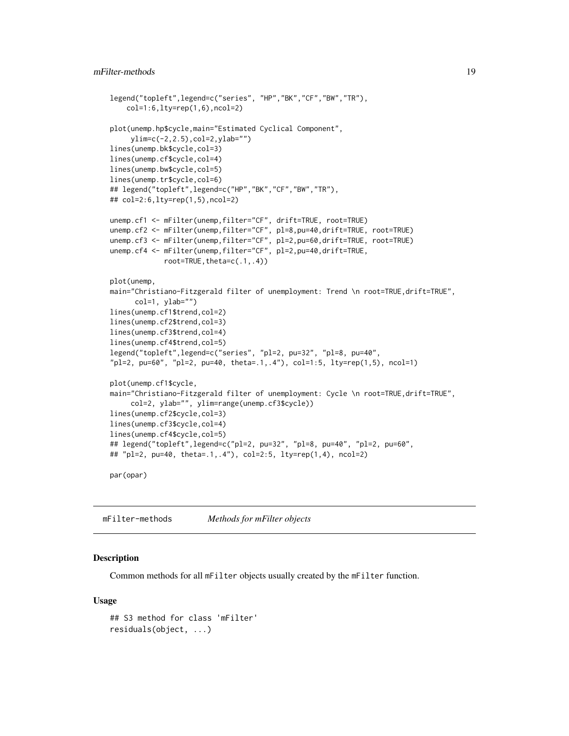```
legend("topleft",legend=c("series", "HP","BK","CF","BW","TR"),
    col=1:6,lty=rep(1,6),ncol=2)
plot(unemp.hp$cycle,main="Estimated Cyclical Component",
     ylim=c(-2,2.5),col=2,ylab="")
lines(unemp.bk$cycle,col=3)
lines(unemp.cf$cycle,col=4)
lines(unemp.bw$cycle,col=5)
lines(unemp.tr$cycle,col=6)
## legend("topleft",legend=c("HP","BK","CF","BW","TR"),
## col=2:6,lty=rep(1,5),ncol=2)
unemp.cf1 <- mFilter(unemp,filter="CF", drift=TRUE, root=TRUE)
unemp.cf2 <- mFilter(unemp,filter="CF", pl=8,pu=40,drift=TRUE, root=TRUE)
unemp.cf3 <- mFilter(unemp,filter="CF", pl=2,pu=60,drift=TRUE, root=TRUE)
unemp.cf4 <- mFilter(unemp,filter="CF", pl=2,pu=40,drift=TRUE,
             root = TRUE, theta = c(.1, .4))plot(unemp,
main="Christiano-Fitzgerald filter of unemployment: Trend \n root=TRUE,drift=TRUE",
     col=1, ylab="")
lines(unemp.cf1$trend,col=2)
lines(unemp.cf2$trend,col=3)
lines(unemp.cf3$trend,col=4)
lines(unemp.cf4$trend,col=5)
legend("topleft",legend=c("series", "pl=2, pu=32", "pl=8, pu=40",
"pl=2, pu=60", "pl=2, pu=40, theta=.1,.4"), col=1:5, lty=rep(1,5), ncol=1)
plot(unemp.cf1$cycle,
main="Christiano-Fitzgerald filter of unemployment: Cycle \n root=TRUE, drift=TRUE",
     col=2, ylab="", ylim=range(unemp.cf3$cycle))
lines(unemp.cf2$cycle,col=3)
lines(unemp.cf3$cycle,col=4)
lines(unemp.cf4$cycle,col=5)
## legend("topleft",legend=c("pl=2, pu=32", "pl=8, pu=40", "pl=2, pu=60",
## "pl=2, pu=40, theta=.1,.4"), col=2:5, lty=rep(1,4), ncol=2)
```
par(opar)

<span id="page-18-1"></span>mFilter-methods *Methods for mFilter objects*

#### <span id="page-18-2"></span>Description

Common methods for all mFilter objects usually created by the mFilter function.

#### Usage

```
## S3 method for class 'mFilter'
residuals(object, ...)
```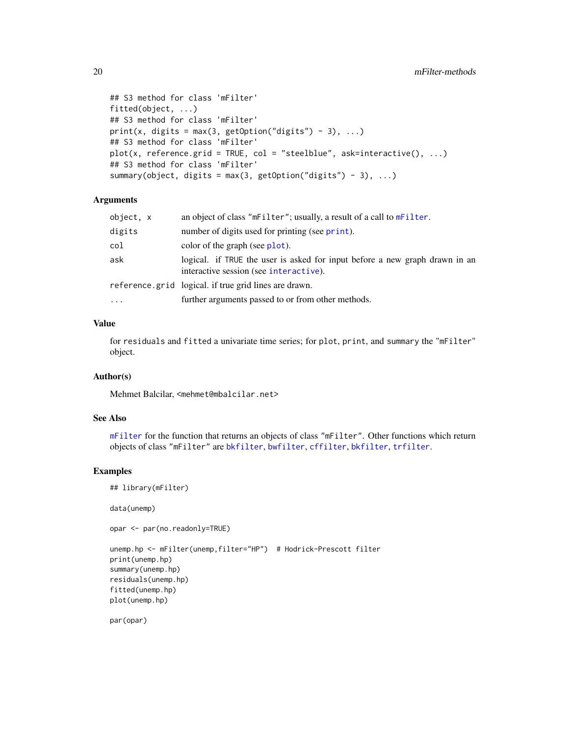```
## S3 method for class 'mFilter'
fitted(object, ...)
## S3 method for class 'mFilter'
print(x, digits = max(3, getOption("digits") - 3), ...)## S3 method for class 'mFilter'
plot(x, reference.grid = TRUE, col = "steelblue", ask=interactive(), ...)## S3 method for class 'mFilter'
summary(object, digits = max(3, getOption("digits") - 3), ...)
```
#### Arguments

| object, x | an object of class "mFilter"; usually, a result of a call to mFilter.                                                 |
|-----------|-----------------------------------------------------------------------------------------------------------------------|
| digits    | number of digits used for printing (see print).                                                                       |
| col       | color of the graph (see plot).                                                                                        |
| ask       | logical. if TRUE the user is asked for input before a new graph drawn in an<br>interactive session (see interactive). |
|           | reference.grid logical. if true grid lines are drawn.                                                                 |
| $\cdots$  | further arguments passed to or from other methods.                                                                    |

#### Value

for residuals and fitted a univariate time series; for plot, print, and summary the "mFilter" object.

#### Author(s)

Mehmet Balcilar, <mehmet@mbalcilar.net>

#### See Also

[mFilter](#page-15-1) for the function that returns an objects of class "mFilter". Other functions which return objects of class "mFilter" are [bkfilter](#page-4-1), [bwfilter](#page-7-1), [cffilter](#page-10-1), [bkfilter](#page-4-1), [trfilter](#page-20-1).

#### Examples

```
## library(mFilter)
```
data(unemp)

opar <- par(no.readonly=TRUE)

```
unemp.hp <- mFilter(unemp,filter="HP") # Hodrick-Prescott filter
print(unemp.hp)
summary(unemp.hp)
residuals(unemp.hp)
fitted(unemp.hp)
plot(unemp.hp)
```
par(opar)

<span id="page-19-0"></span>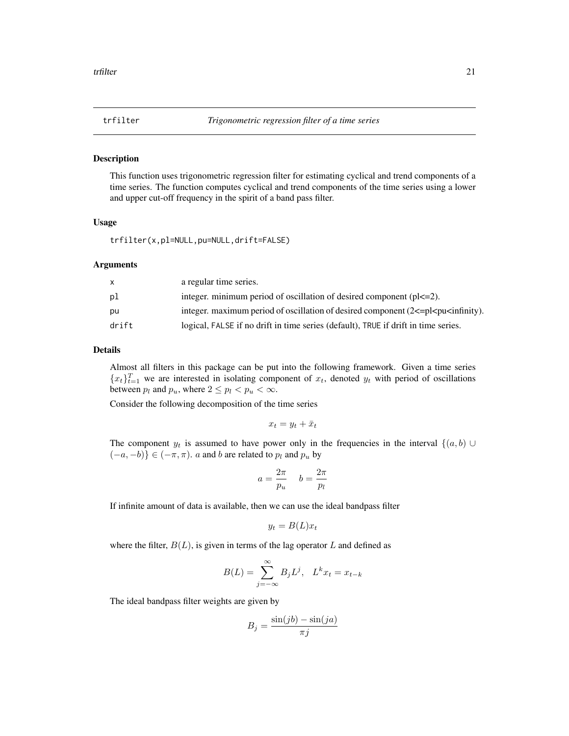<span id="page-20-1"></span><span id="page-20-0"></span>

#### Description

This function uses trigonometric regression filter for estimating cyclical and trend components of a time series. The function computes cyclical and trend components of the time series using a lower and upper cut-off frequency in the spirit of a band pass filter.

#### Usage

trfilter(x,pl=NULL,pu=NULL,drift=FALSE)

#### Arguments

|       | a regular time series.                                                                   |
|-------|------------------------------------------------------------------------------------------|
| рl    | integer, minimum period of oscillation of desired component $(p  \leq 2)$ .              |
| pu    | integer. maximum period of oscillation of desired component $(2\leq p\leq p\leq \infty)$ |
| drift | logical, FALSE if no drift in time series (default), TRUE if drift in time series.       |

#### Details

Almost all filters in this package can be put into the following framework. Given a time series  ${x_t}_{t=1}^T$  we are interested in isolating component of  $x_t$ , denoted  $y_t$  with period of oscillations between  $p_l$  and  $p_u$ , where  $2 \leq p_l < p_u < \infty$ .

Consider the following decomposition of the time series

$$
x_t = y_t + \bar{x}_t
$$

The component  $y_t$  is assumed to have power only in the frequencies in the interval  $\{(a, b) \cup$  $(-a, -b)$ } ∈  $(-\pi, \pi)$ . *a* and *b* are related to  $p_l$  and  $p_u$  by

$$
a = \frac{2\pi}{p_u} \quad b = \frac{2\pi}{p_l}
$$

If infinite amount of data is available, then we can use the ideal bandpass filter

$$
y_t = B(L)x_t
$$

where the filter,  $B(L)$ , is given in terms of the lag operator L and defined as

$$
B(L) = \sum_{j=-\infty}^{\infty} B_j L^j, \quad L^k x_t = x_{t-k}
$$

The ideal bandpass filter weights are given by

$$
B_j = \frac{\sin(jb) - \sin(ja)}{\pi j}
$$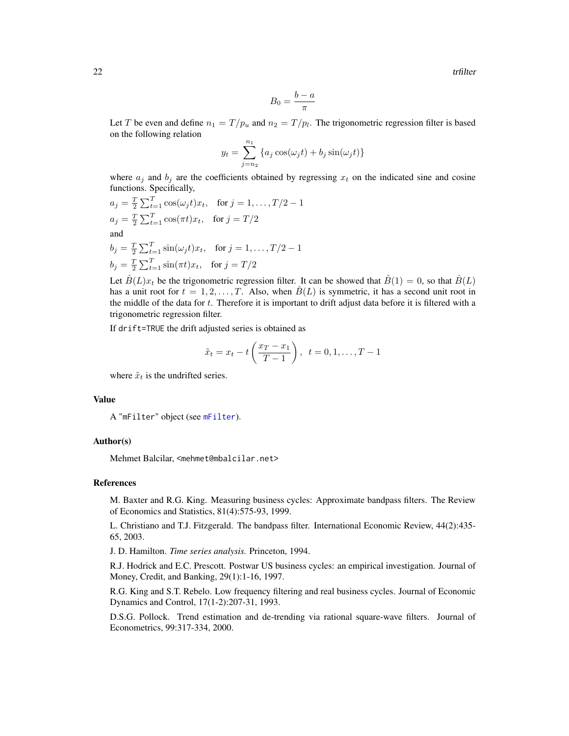<span id="page-21-0"></span>22 transfer that the contract of the contract of the contract of the contract of the contract of the contract of the contract of the contract of the contract of the contract of the contract of the contract of the contract

$$
B_0 = \frac{b-a}{\pi}
$$

Let T be even and define  $n_1 = T/p_u$  and  $n_2 = T/p_l$ . The trigonometric regression filter is based on the following relation

$$
y_t = \sum_{j=n_2}^{n_1} \{a_j \cos(\omega_j t) + b_j \sin(\omega_j t)\}\
$$

where  $a_j$  and  $b_j$  are the coefficients obtained by regressing  $x_t$  on the indicated sine and cosine functions. Specifically,

$$
a_j = \frac{T}{2} \sum_{t=1}^{T} \cos(\omega_j t) x_t, \text{ for } j = 1, ..., T/2 - 1
$$
  
\n
$$
a_j = \frac{T}{2} \sum_{t=1}^{T} \cos(\pi t) x_t, \text{ for } j = T/2
$$
  
\nand  
\n
$$
b_j = \frac{T}{2} \sum_{t=1}^{T} \sin(\omega_j t) x_t, \text{ for } j = 1, ..., T/2 - 1
$$
  
\n
$$
b_j = \frac{T}{2} \sum_{t=1}^{T} \sin(\pi t) x_t, \text{ for } j = T/2
$$

Let  $\hat{B}(L)x_t$  be the trigonometric regression filter. It can be showed that  $\hat{B}(1) = 0$ , so that  $\hat{B}(L)$ has a unit root for  $t = 1, 2, \ldots, T$ . Also, when  $\hat{B}(L)$  is symmetric, it has a second unit root in the middle of the data for  $t$ . Therefore it is important to drift adjust data before it is filtered with a trigonometric regression filter.

If drift=TRUE the drift adjusted series is obtained as

$$
\tilde{x}_t = x_t - t \left( \frac{x_T - x_1}{T - 1} \right), \ \ t = 0, 1, \dots, T - 1
$$

where  $\tilde{x}_t$  is the undrifted series.

#### Value

A "mFilter" object (see [mFilter](#page-15-1)).

#### Author(s)

Mehmet Balcilar, <mehmet@mbalcilar.net>

#### References

M. Baxter and R.G. King. Measuring business cycles: Approximate bandpass filters. The Review of Economics and Statistics, 81(4):575-93, 1999.

L. Christiano and T.J. Fitzgerald. The bandpass filter. International Economic Review, 44(2):435- 65, 2003.

J. D. Hamilton. *Time series analysis.* Princeton, 1994.

R.J. Hodrick and E.C. Prescott. Postwar US business cycles: an empirical investigation. Journal of Money, Credit, and Banking, 29(1):1-16, 1997.

R.G. King and S.T. Rebelo. Low frequency filtering and real business cycles. Journal of Economic Dynamics and Control, 17(1-2):207-31, 1993.

D.S.G. Pollock. Trend estimation and de-trending via rational square-wave filters. Journal of Econometrics, 99:317-334, 2000.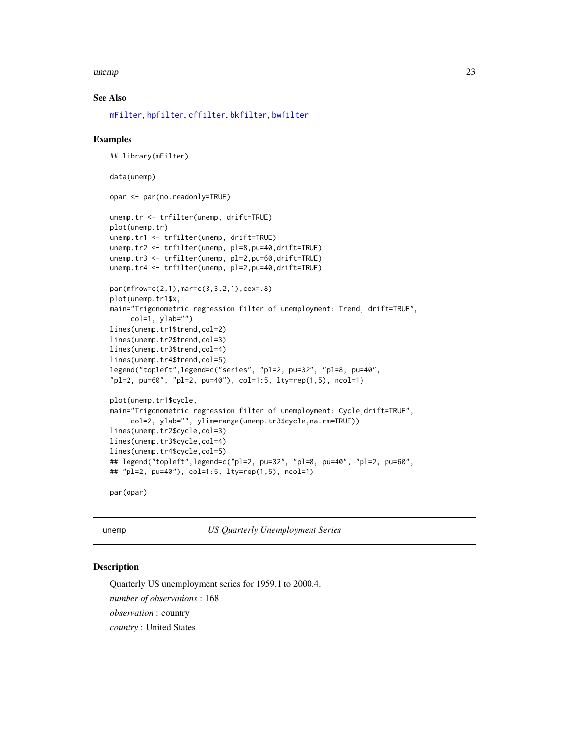#### <span id="page-22-0"></span> $\mu$ unemp 23

#### See Also

[mFilter](#page-15-1), [hpfilter](#page-13-1), [cffilter](#page-10-1), [bkfilter](#page-4-1), [bwfilter](#page-7-1)

#### Examples

```
## library(mFilter)
data(unemp)
opar <- par(no.readonly=TRUE)
unemp.tr <- trfilter(unemp, drift=TRUE)
plot(unemp.tr)
unemp.tr1 <- trfilter(unemp, drift=TRUE)
unemp.tr2 <- trfilter(unemp, pl=8,pu=40,drift=TRUE)
unemp.tr3 <- trfilter(unemp, pl=2,pu=60,drift=TRUE)
unemp.tr4 <- trfilter(unemp, pl=2,pu=40,drift=TRUE)
par(mfrow=c(2,1),mar=c(3,3,2,1),cex=.8)
plot(unemp.tr1$x,
main="Trigonometric regression filter of unemployment: Trend, drift=TRUE",
     col=1, ylab="")
lines(unemp.tr1$trend,col=2)
lines(unemp.tr2$trend,col=3)
lines(unemp.tr3$trend,col=4)
lines(unemp.tr4$trend,col=5)
legend("topleft",legend=c("series", "pl=2, pu=32", "pl=8, pu=40",
"pl=2, pu=60", "pl=2, pu=40"), col=1:5, lty=rep(1,5), ncol=1)
plot(unemp.tr1$cycle,
main="Trigonometric regression filter of unemployment: Cycle,drift=TRUE",
     col=2, ylab="", ylim=range(unemp.tr3$cycle,na.rm=TRUE))
lines(unemp.tr2$cycle,col=3)
lines(unemp.tr3$cycle,col=4)
lines(unemp.tr4$cycle,col=5)
## legend("topleft",legend=c("pl=2, pu=32", "pl=8, pu=40", "pl=2, pu=60",
## "pl=2, pu=40"), col=1:5, lty=rep(1,5), ncol=1)
par(opar)
```
unemp *US Quarterly Unemployment Series*

#### Description

Quarterly US unemployment series for 1959.1 to 2000.4. *number of observations* : 168 *observation* : country *country* : United States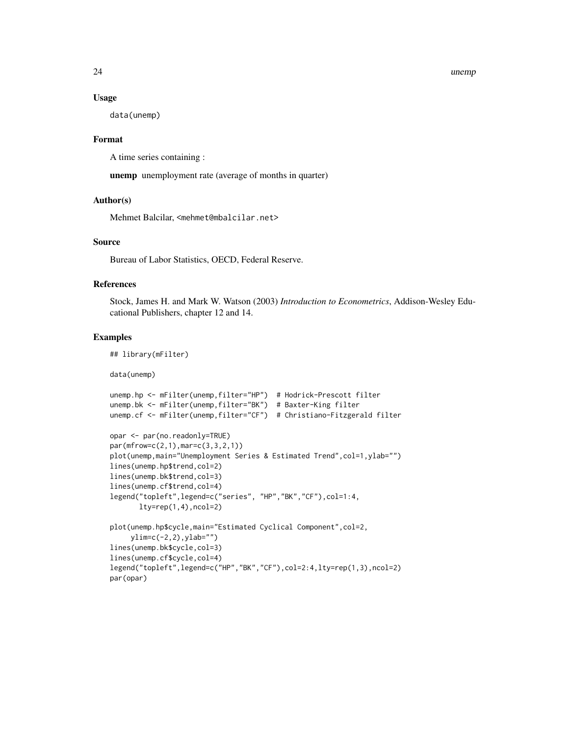#### 24 unemp

#### Usage

data(unemp)

#### Format

A time series containing :

unemp unemployment rate (average of months in quarter)

#### Author(s)

Mehmet Balcilar, <mehmet@mbalcilar.net>

#### Source

Bureau of Labor Statistics, OECD, Federal Reserve.

#### References

Stock, James H. and Mark W. Watson (2003) *Introduction to Econometrics*, Addison-Wesley Educational Publishers, chapter 12 and 14.

#### Examples

## library(mFilter)

data(unemp)

```
unemp.hp <- mFilter(unemp,filter="HP") # Hodrick-Prescott filter
unemp.bk <- mFilter(unemp,filter="BK") # Baxter-King filter
unemp.cf <- mFilter(unemp,filter="CF") # Christiano-Fitzgerald filter
opar <- par(no.readonly=TRUE)
par(mfrow=c(2,1),mar=c(3,3,2,1))
plot(unemp,main="Unemployment Series & Estimated Trend",col=1,ylab="")
lines(unemp.hp$trend,col=2)
lines(unemp.bk$trend,col=3)
lines(unemp.cf$trend,col=4)
legend("topleft",legend=c("series", "HP","BK","CF"),col=1:4,
       lty=rep(1,4),ncol=2)
plot(unemp.hp$cycle,main="Estimated Cyclical Component",col=2,
     ylim=c(-2,2),ylab="")
lines(unemp.bk$cycle,col=3)
lines(unemp.cf$cycle,col=4)
legend("topleft",legend=c("HP","BK","CF"),col=2:4,lty=rep(1,3),ncol=2)
par(opar)
```